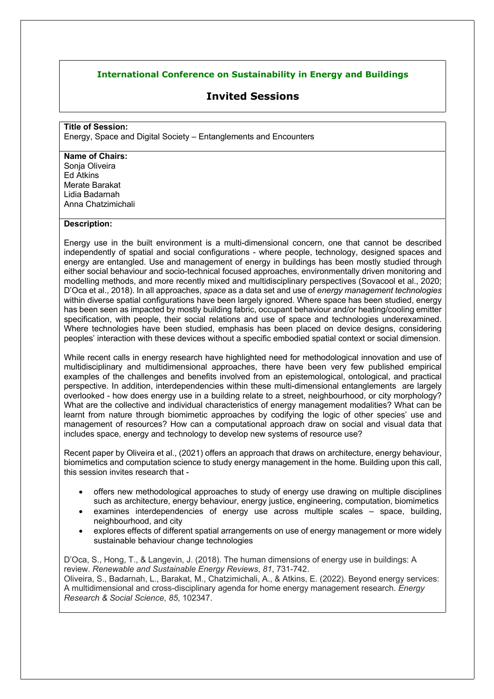## **International Conference on Sustainability in Energy and Buildings**

# **Invited Sessions**

#### **Title of Session:**

Energy, Space and Digital Society – Entanglements and Encounters

#### **Name of Chairs:**

Sonia Oliveira Ed Atkins Merate Barakat Lidia Badarnah Anna Chatzimichali

### **Description:**

Energy use in the built environment is a multi-dimensional concern, one that cannot be described independently of spatial and social configurations - where people, technology, designed spaces and energy are entangled. Use and management of energy in buildings has been mostly studied through either social behaviour and socio-technical focused approaches, environmentally driven monitoring and modelling methods, and more recently mixed and multidisciplinary perspectives (Sovacool et al., 2020; D'Oca et al., 2018). In all approaches, *space* as a data set and use of *energy management technologies* within diverse spatial configurations have been largely ignored. Where space has been studied, energy has been seen as impacted by mostly building fabric, occupant behaviour and/or heating/cooling emitter specification, with people, their social relations and use of space and technologies underexamined. Where technologies have been studied, emphasis has been placed on device designs, considering peoples' interaction with these devices without a specific embodied spatial context or social dimension.

While recent calls in energy research have highlighted need for methodological innovation and use of multidisciplinary and multidimensional approaches, there have been very few published empirical examples of the challenges and benefits involved from an epistemological, ontological, and practical perspective. In addition, interdependencies within these multi-dimensional entanglements are largely overlooked - how does energy use in a building relate to a street, neighbourhood, or city morphology? What are the collective and individual characteristics of energy management modalities? What can be learnt from nature through biomimetic approaches by codifying the logic of other species' use and management of resources? How can a computational approach draw on social and visual data that includes space, energy and technology to develop new systems of resource use?

Recent paper by Oliveira et al., (2021) offers an approach that draws on architecture, energy behaviour, biomimetics and computation science to study energy management in the home. Building upon this call, this session invites research that -

- offers new methodological approaches to study of energy use drawing on multiple disciplines such as architecture, energy behaviour, energy justice, engineering, computation, biomimetics
- examines interdependencies of energy use across multiple scales space, building, neighbourhood, and city
- explores effects of different spatial arrangements on use of energy management or more widely sustainable behaviour change technologies

D'Oca, S., Hong, T., & Langevin, J. (2018). The human dimensions of energy use in buildings: A review. *Renewable and Sustainable Energy Reviews*, *81*, 731-742. Oliveira, S., Badarnah, L., Barakat, M., Chatzimichali, A., & Atkins, E. (2022). Beyond energy services: A multidimensional and cross-disciplinary agenda for home energy management research. *Energy Research & Social Science*, *85*, 102347.